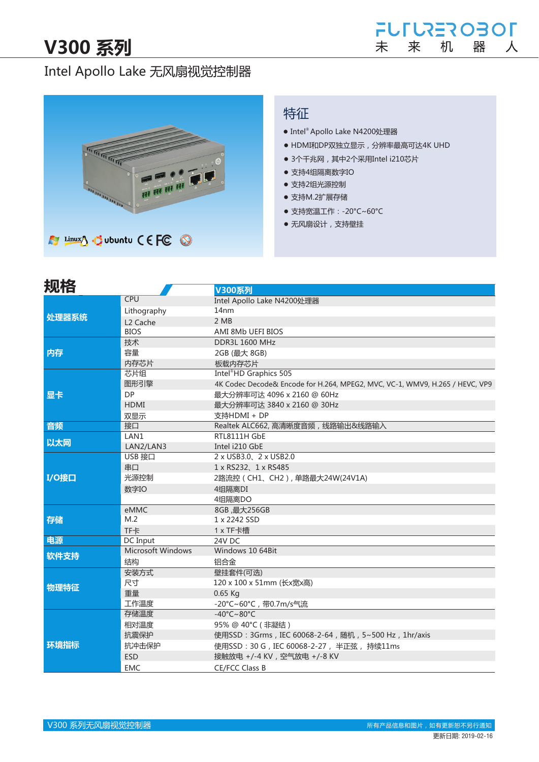# Intel Apollo Lake 无风扇视觉控制器



### 特征

- Intel® Apollo Lake N4200处理器
- HDMI和DP双独立显示,分辨率最高可达4K UHD
- 3个千兆网, 其中2个采用Intel i210芯片
- 支持4组隔离数字IO
- 支持2组光源控制
- 支持M.2扩展存储
- 支持宽温工作: -20°C~60°C
- 无风扇设计,支持壁挂

| 规格    |                      | V300系列                                                                       |  |  |  |
|-------|----------------------|------------------------------------------------------------------------------|--|--|--|
|       | CPU                  | Intel Apollo Lake N4200处理器                                                   |  |  |  |
| 处理器系统 | Lithography          | 14 <sub>nm</sub>                                                             |  |  |  |
|       | L <sub>2</sub> Cache | 2MB                                                                          |  |  |  |
|       | <b>BIOS</b>          | AMI 8Mb UEFI BIOS                                                            |  |  |  |
|       | 技术                   | <b>DDR3L 1600 MHz</b>                                                        |  |  |  |
| 内存    | 容量                   | 2GB (最大 8GB)                                                                 |  |  |  |
|       | 内存芯片                 | 板载内存芯片                                                                       |  |  |  |
|       | 芯片组                  | Intel <sup>®</sup> HD Graphics 505                                           |  |  |  |
|       | 图形引擎                 | 4K Codec Decode& Encode for H.264, MPEG2, MVC, VC-1, WMV9, H.265 / HEVC, VP9 |  |  |  |
| 显卡    | <b>DP</b>            | 最大分辨率可达 4096 x 2160 @ 60Hz                                                   |  |  |  |
|       | <b>HDMI</b>          | 最大分辨率可达 3840 x 2160 @ 30Hz                                                   |  |  |  |
|       | 双显示                  | 支持HDMI + DP                                                                  |  |  |  |
| 音频    | 接口                   | Realtek ALC662, 高清晰度音频, 线路输出&线路输入                                            |  |  |  |
|       | LAN1                 | RTL8111H GbE                                                                 |  |  |  |
| 以太网   | LAN2/LAN3            | Intel i210 GbE                                                               |  |  |  |
|       | USB 接口               | 2 x USB3.0 2 x USB2.0                                                        |  |  |  |
|       | 串口                   | 1 x RS232, 1 x RS485                                                         |  |  |  |
| I/O接口 | 光源控制                 | 2路流控 (CH1、CH2), 单路最大24W(24V1A)                                               |  |  |  |
|       | 数字IO                 | 4组隔离DI                                                                       |  |  |  |
|       |                      | 4组隔离DO                                                                       |  |  |  |
|       | eMMC                 | 8GB, 最大256GB                                                                 |  |  |  |
| 存储    | M.2                  | 1 x 2242 SSD                                                                 |  |  |  |
|       | <b>TF卡</b>           | 1 x TF卡槽                                                                     |  |  |  |
| 电源    | DC Input             | 24V DC                                                                       |  |  |  |
| 软件支持  | Microsoft Windows    | Windows 10 64Bit                                                             |  |  |  |
|       | 结构                   | 铝合金                                                                          |  |  |  |
|       | 安装方式                 | 壁挂套件(可选)                                                                     |  |  |  |
| 物理特征  | 尺寸                   | 120 x 100 x 51mm (长x宽x高)                                                     |  |  |  |
|       | 重量                   | $0.65$ Kg                                                                    |  |  |  |
|       | 工作温度                 | -20°C~60°C, 带0.7m/s气流                                                        |  |  |  |
|       | 存储温度                 | $-40^{\circ}$ C $\sim$ 80 $^{\circ}$ C                                       |  |  |  |
| 环境指标  | 相对温度                 | 95% @ 40°C (非凝结)                                                             |  |  |  |
|       | 抗震保护                 | 使用SSD: 3Grms, IEC 60068-2-64, 随机, 5~500 Hz, 1hr/axis                         |  |  |  |
|       | 抗冲击保护                | 使用SSD: 30 G, IEC 60068-2-27, 半正弦, 持续11ms                                     |  |  |  |
|       | <b>ESD</b>           | 接触放电 +/-4 KV, 空气放电 +/-8 KV                                                   |  |  |  |
|       | <b>EMC</b>           | CE/FCC Class B                                                               |  |  |  |